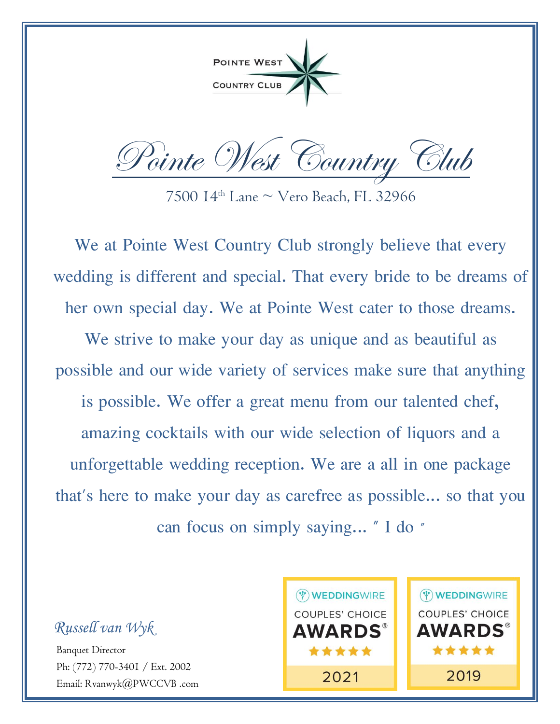POINTE WEST **COUNTRY CLUB** 

Pointe West Country Club

7500  $14<sup>th</sup>$  Lane  $\sim$  Vero Beach, FL 32966

We at Pointe West Country Club strongly believe that every wedding is different and special. That every bride to be dreams of her own special day. We at Pointe West cater to those dreams. We strive to make your day as unique and as beautiful as possible and our wide variety of services make sure that anything is possible. We offer a great menu from our talented chef, amazing cocktails with our wide selection of liquors and a unforgettable wedding reception. We are a all in one package that's here to make your day as carefree as possible... so that you can focus on simply saying... " I do "

*Russell van Wyk*

Banquet Director Ph: (772) 770-3401 / Ext. 2002 Email: Rvanwyk@PWCCVB .com

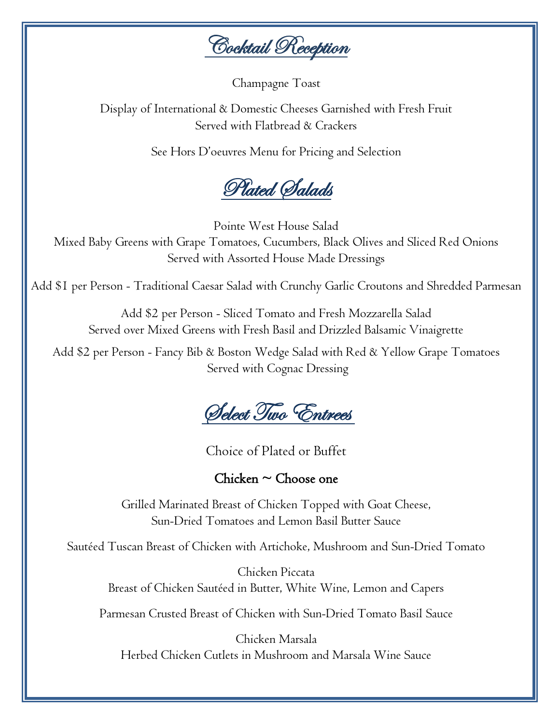**Cocktail Reception** 

Champagne Toast

Display of International & Domestic Cheeses Garnished with Fresh Fruit Served with Flatbread & Crackers

See Hors D'oeuvres Menu for Pricing and Selection



Pointe West House Salad Mixed Baby Greens with Grape Tomatoes, Cucumbers, Black Olives and Sliced Red Onions Served with Assorted House Made Dressings

Add \$1 per Person - Traditional Caesar Salad with Crunchy Garlic Croutons and Shredded Parmesan

Add \$2 per Person - Sliced Tomato and Fresh Mozzarella Salad Served over Mixed Greens with Fresh Basil and Drizzled Balsamic Vinaigrette

Add \$2 per Person - Fancy Bib & Boston Wedge Salad with Red & Yellow Grape Tomatoes Served with Cognac Dressing

Select Two Entrees

Choice of Plated or Buffet

Chicken  $\sim$  Choose one

Grilled Marinated Breast of Chicken Topped with Goat Cheese, Sun-Dried Tomatoes and Lemon Basil Butter Sauce

Sautéed Tuscan Breast of Chicken with Artichoke, Mushroom and Sun-Dried Tomato

Chicken Piccata Breast of Chicken Sautéed in Butter, White Wine, Lemon and Capers

Parmesan Crusted Breast of Chicken with Sun-Dried Tomato Basil Sauce

Chicken Marsala Herbed Chicken Cutlets in Mushroom and Marsala Wine Sauce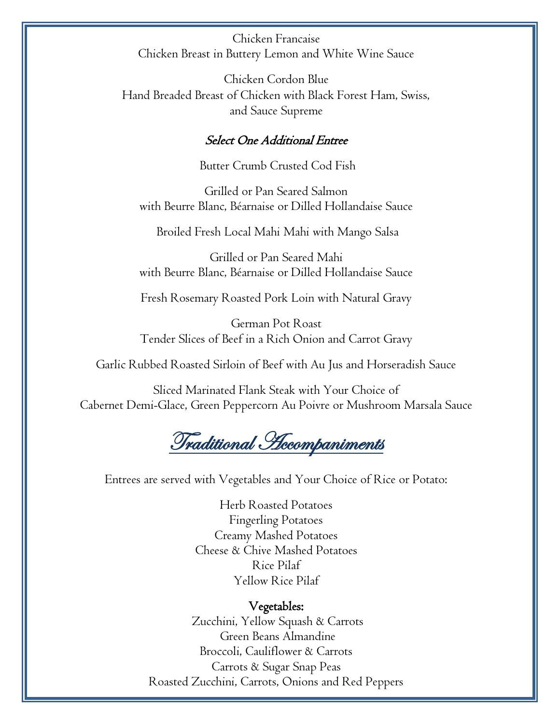Chicken Francaise Chicken Breast in Buttery Lemon and White Wine Sauce

Chicken Cordon Blue Hand Breaded Breast of Chicken with Black Forest Ham, Swiss, and Sauce Supreme

#### Select One Additional Entree

Butter Crumb Crusted Cod Fish

Grilled or Pan Seared Salmon with Beurre Blanc, Béarnaise or Dilled Hollandaise Sauce

Broiled Fresh Local Mahi Mahi with Mango Salsa

Grilled or Pan Seared Mahi with Beurre Blanc, Béarnaise or Dilled Hollandaise Sauce

Fresh Rosemary Roasted Pork Loin with Natural Gravy

German Pot Roast Tender Slices of Beef in a Rich Onion and Carrot Gravy

Garlic Rubbed Roasted Sirloin of Beef with Au Jus and Horseradish Sauce

Sliced Marinated Flank Steak with Your Choice of Cabernet Demi-Glace, Green Peppercorn Au Poivre or Mushroom Marsala Sauce

Traditional Accompaniments

Entrees are served with Vegetables and Your Choice of Rice or Potato:

Herb Roasted Potatoes Fingerling Potatoes Creamy Mashed Potatoes Cheese & Chive Mashed Potatoes Rice Pilaf Yellow Rice Pilaf

#### Vegetables:

Zucchini, Yellow Squash & Carrots Green Beans Almandine Broccoli, Cauliflower & Carrots Carrots & Sugar Snap Peas Roasted Zucchini, Carrots, Onions and Red Peppers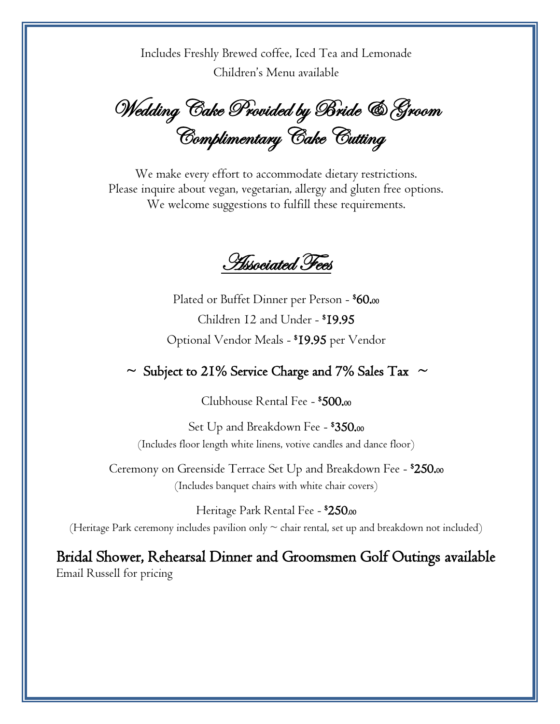Includes Freshly Brewed coffee, Iced Tea and Lemonade Children's Menu available

Wedding Cake Provided by Bride & Groom Complimentary Cake Cutting

We make every effort to accommodate dietary restrictions. Please inquire about vegan, vegetarian, allergy and gluten free options. We welcome suggestions to fulfill these requirements.

Associated Fees

Plated or Buffet Dinner per Person -  $\$60$ .00 Children 12 and Under - \$19.95 Optional Vendor Meals - \$19.95 per Vendor

 $\sim$  Subject to 21% Service Charge and 7% Sales Tax  $\sim$ 

Clubhouse Rental Fee - \$500.<sup>00</sup>

Set Up and Breakdown Fee -  $\$350$ .00 (Includes floor length white linens, votive candles and dance floor)

Ceremony on Greenside Terrace Set Up and Breakdown Fee - \$250.00 (Includes banquet chairs with white chair covers)

Heritage Park Rental Fee - **\*250.**00 (Heritage Park ceremony includes pavilion only  $\sim$  chair rental, set up and breakdown not included)

Bridal Shower, Rehearsal Dinner and Groomsmen Golf Outings available Email Russell for pricing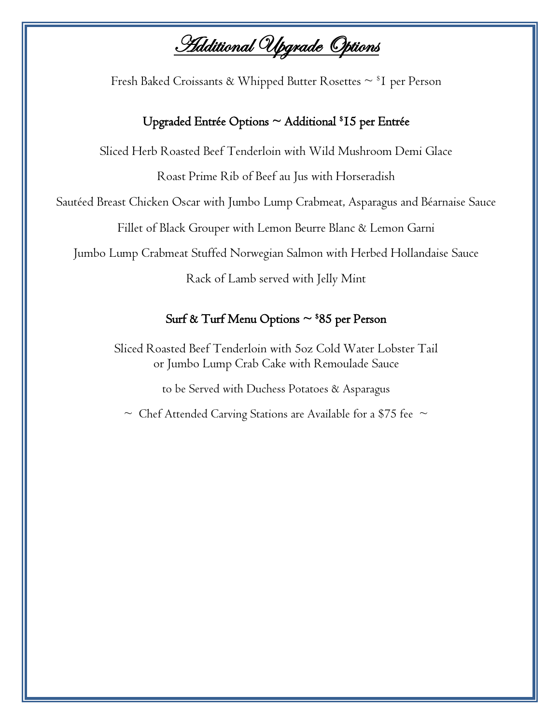**Additional Upgrade Options** 

Fresh Baked Croissants & Whipped Butter Rosettes  $\sim$  <sup>\$</sup>I per Person

### Upgraded Entrée Options ~ Additional \$15 per Entrée

Sliced Herb Roasted Beef Tenderloin with Wild Mushroom Demi Glace

Roast Prime Rib of Beef au Jus with Horseradish

Sautéed Breast Chicken Oscar with Jumbo Lump Crabmeat, Asparagus and Béarnaise Sauce

Fillet of Black Grouper with Lemon Beurre Blanc & Lemon Garni

Jumbo Lump Crabmeat Stuffed Norwegian Salmon with Herbed Hollandaise Sauce

Rack of Lamb served with Jelly Mint

### Surf & Turf Menu Options ~ \$85 per Person

Sliced Roasted Beef Tenderloin with 5oz Cold Water Lobster Tail or Jumbo Lump Crab Cake with Remoulade Sauce

to be Served with Duchess Potatoes & Asparagus

 $\sim$  Chef Attended Carving Stations are Available for a \$75 fee  $\sim$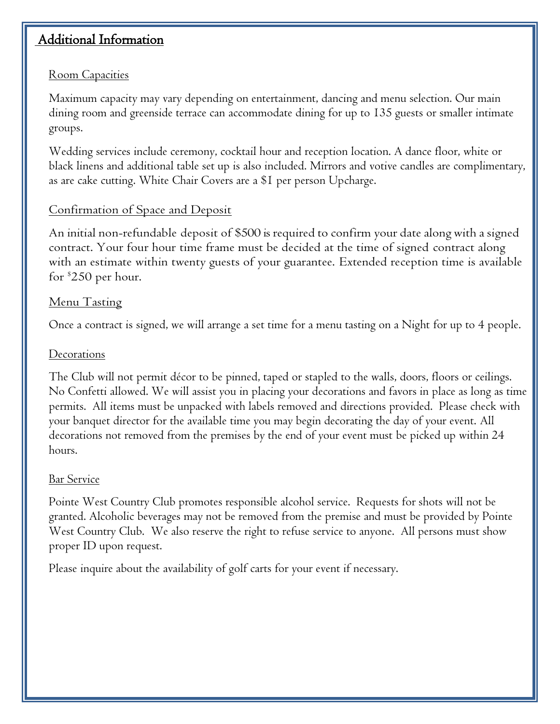# Additional Information

# Room Capacities

Maximum capacity may vary depending on entertainment, dancing and menu selection. Our main dining room and greenside terrace can accommodate dining for up to 135 guests or smaller intimate groups.

Wedding services include ceremony, cocktail hour and reception location. A dance floor, white or black linens and additional table set up is also included. Mirrors and votive candles are complimentary, as are cake cutting. White Chair Covers are a \$1 per person Upcharge.

# Confirmation of Space and Deposit

An initial non-refundable deposit of \$500 is required to confirm your date along with asigned contract. Your four hour time frame must be decided at the time of signed contract along with an estimate within twenty guests of your guarantee. Extended reception time is available for \$250 per hour.

### Menu Tasting

Once a contract is signed, we will arrange a set time for a menu tasting on a Night for up to 4 people.

#### **Decorations**

The Club will not permit décor to be pinned, taped or stapled to the walls, doors, floors or ceilings. No Confetti allowed. We will assist you in placing your decorations and favors in place as long as time permits. All items must be unpacked with labels removed and directions provided. Please check with your banquet director for the available time you may begin decorating the day of your event. All decorations not removed from the premises by the end of your event must be picked up within 24 hours.

### Bar Service

Pointe West Country Club promotes responsible alcohol service. Requests for shots will not be granted. Alcoholic beverages may not be removed from the premise and must be provided by Pointe West Country Club. We also reserve the right to refuse service to anyone. All persons must show proper ID upon request.

Please inquire about the availability of golf carts for your event if necessary.